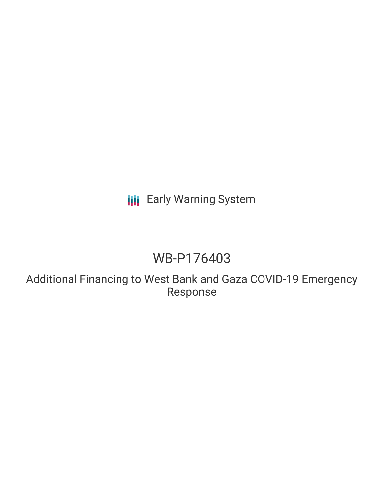# **III** Early Warning System

# WB-P176403

Additional Financing to West Bank and Gaza COVID-19 Emergency Response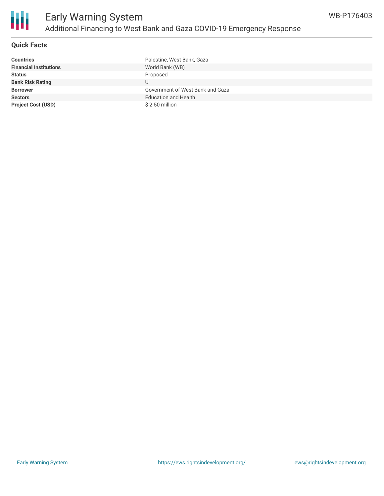

### **Quick Facts**

| <b>Countries</b>              | Palestine, West Bank, Gaza       |
|-------------------------------|----------------------------------|
| <b>Financial Institutions</b> | World Bank (WB)                  |
| <b>Status</b>                 | Proposed                         |
| <b>Bank Risk Rating</b>       | U                                |
| <b>Borrower</b>               | Government of West Bank and Gaza |
| <b>Sectors</b>                | <b>Education and Health</b>      |
| <b>Project Cost (USD)</b>     | \$2.50 million                   |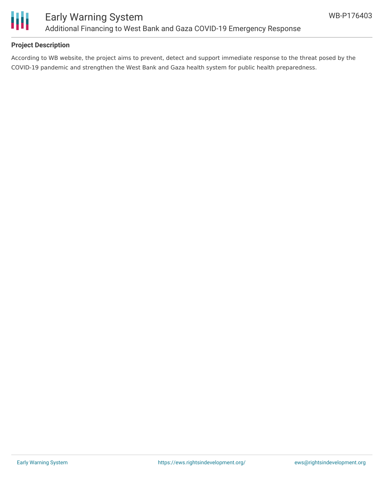

### **Project Description**

According to WB website, the project aims to prevent, detect and support immediate response to the threat posed by the COVID-19 pandemic and strengthen the West Bank and Gaza health system for public health preparedness.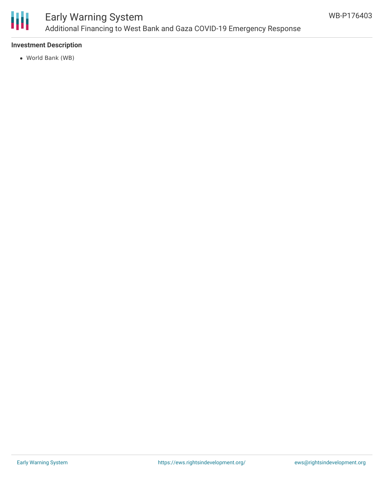

## Early Warning System Additional Financing to West Bank and Gaza COVID-19 Emergency Response

### **Investment Description**

World Bank (WB)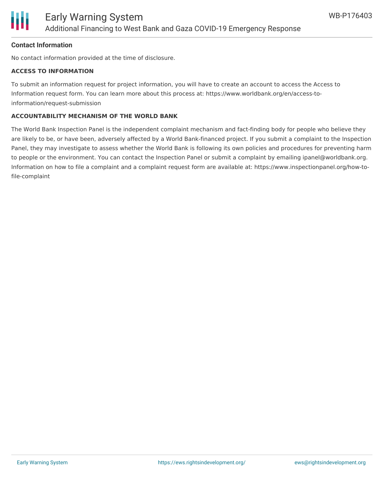

#### **Contact Information**

No contact information provided at the time of disclosure.

#### **ACCESS TO INFORMATION**

To submit an information request for project information, you will have to create an account to access the Access to Information request form. You can learn more about this process at: https://www.worldbank.org/en/access-toinformation/request-submission

#### **ACCOUNTABILITY MECHANISM OF THE WORLD BANK**

The World Bank Inspection Panel is the independent complaint mechanism and fact-finding body for people who believe they are likely to be, or have been, adversely affected by a World Bank-financed project. If you submit a complaint to the Inspection Panel, they may investigate to assess whether the World Bank is following its own policies and procedures for preventing harm to people or the environment. You can contact the Inspection Panel or submit a complaint by emailing ipanel@worldbank.org. Information on how to file a complaint and a complaint request form are available at: https://www.inspectionpanel.org/how-tofile-complaint